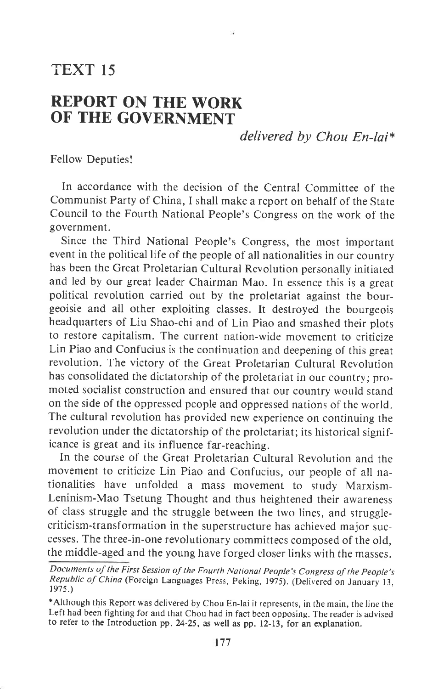TEXT <sup>15</sup>

## REPORT ON THE WORK OF THE GOVERNMENT

delivered by Chou En-lai\*

Fellow Deputies!

In accordance with the decision of the Central Committee of the Communist Party of China, I shall make a report on behalf of the State Council to the Fourth National People's Congress on the work of the government.

Since the Third National People's Congress, the most important event in the political life of the people of all nationalities in our country has been the Great Proletarian Cultural Revolution personally initiated and led by our great leader Chairman Mao. In essence this is a great political revolution carried out by the proletariat against the bourgeoisie and all other exploiting classes. It destroyed the bourgeois headquarters of Liu Shao-chi and of Lin Piao and smashed their plots to restore capitalism. The current nation-wide movement to criticize Lin Piao and Confucius is the continuation and deepening of this great revolution. The victory of the Great Proletarian Cultural Revolution has consolidated the dictatorship of the proletariat in our country; promoted socialist construction and ensured that our country would stand on the side of the oppressed people and oppressed nations of the world. The cultural revolution has provided new experience on continuing the revolution under the dictatorship of the proletariat; its historical significance is great and its influence far-reaching.

In the course of the Great Proletarian Cultural Revolution and the movement to criticize Lin Piao and Confucius, our people of all nationalities have unfolded a mass movement to study Marxism-Leninism-Mao Tsetung Thought and thus heightened their awareness of class struggle and the struggle between the two lines, and strugglecriticism-transformation in the superstructure has achieved major successes. The three-in-one revolutionary committees composed of the old, the middle-aged and the young have forged closer links with the masses.

Documents of lhe First session of the Fourlh National people's Congress of the people's Republic of China (Foreign Languages Press, Peking, 1975). (Delivered on January 13,  $1975.$ 

<sup>\*</sup>Although this Report was delivered by Chou En-lai it represents, in the main, the line the Left had been fighting for and that chou had in fact been opposing. The reader is advised to refer to the Introduction pp. ?A-25, as well as pp. 12-13, for an explanation.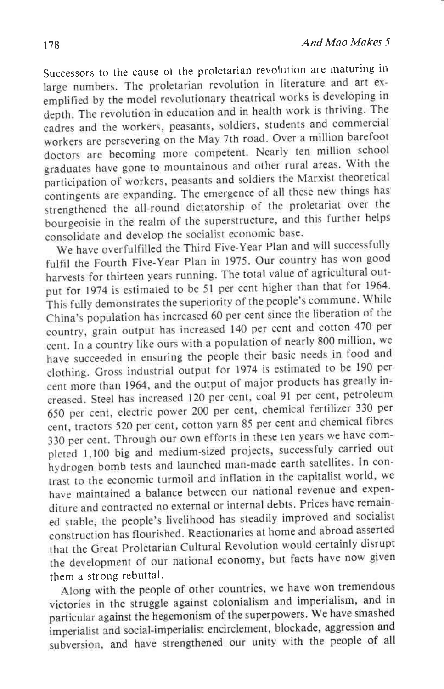Successors to the cause of the proletarian revolution are maturing in large numbers. The proletarian revolution in literature and art exemplified by the model revolutionary theatrical works is developing in depth. The revolution in education and in health work is thriving. The cadres and the workers, peasants, soldiers, students and commercial workers are persevering on the May 7th road. Over a million barefoot doctors are becoming more competent. Nearly ten million school graduates have gone to mountainous and other rural areas. With the participation of workers, peasants and soldiers the Marxist theoretical contingents are expanding. The emergence of all these new things has strengthened the all-round dictatorship of the proletariat over the bourgeoisie in the realm of the superstructure, and this further helps consolidate and develop the socialist economic base.

We have overfulfilled the Third Five-Year Plan and will successfully fulfil the Fourth Five-Year Plan in 1975. Our country has won good harvests for thirteen years running. The total value of agricultural output for 1974 is estimated to be 51 per cent higher than that for 1964. This fully demonstrates the superiority of the people's commune. While China's population has increased 60 per cent since the liberation of the country, grain output has increased 140 per cent and cotton 470 per cent. In a country like ours with a population of nearly 800 million, we have succeeded in ensuring the people their basic needs in food and clothing. Gross industrial output for 1974 is estimated to be 190 per cent more than 1964, and the output of major products has greatly increased. Steel has increased 120 per cent, coal 91 per cent, petroleum 650 per cent, electric power 200 per cent, chemical fertilizer 330 per cent, tractors 520 per cent, cotton yarn 85 per cent and chemical fibres 330 per cent. Through our own efforts in these ten years we have completed 1,100 big and medium-sized projects, successfuly carried out hydrogen bomb tests and launched man-made earth satellites. In contrast to the economic turmoil and inflation in the capitalist world, we have maintained a balance between our national revenue and expenditure and contracted no external or internal debts. Prices have remained stable, the people's livelihood has steadily improved and socialist construction has flourished. Reactionaries at home and abroad asserted that the Great Proletarian Cultural Revolution would certainly disrupt that the Great Profetamin Cundrill Resolution but facts have now given

them a strong rebuttal.<br>Along with the people of other countries, we have won tremendous victories in the struggle against colonialism and imperialism, and in particular against the hegemonism of the superpowers. We have smashed imperialist and social-imperialist encirclement, blockade, aggression and subversion, and have strengthened our unity with the people of all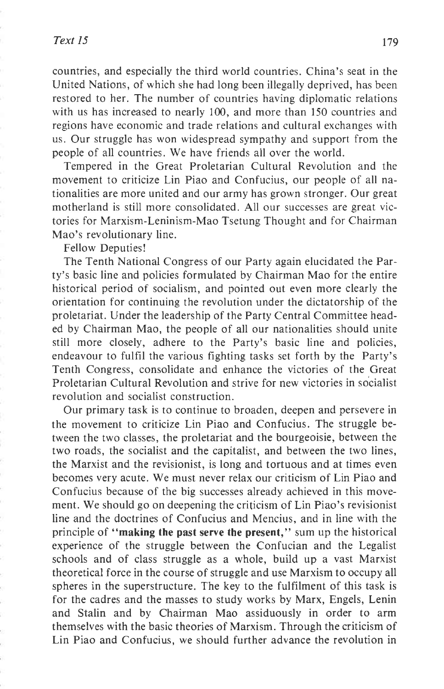countries, and especially the third world countries. China's seat in the United Nations, of which she had long been illegally deprived, has been restored to her. The number of countries having diplomatic relations with us has increased to nearly 100, and more than 150 countries and regions have economic and trade relations and cultural exchanges with us. Our struggle has won widespread sympathy and support from the people of all countries. We have friends all over the world.

Tempered in the Great Proletarian Cultural Revolution and the movement to criticize Lin Piao and Confucius, our people of all nationalities are more united and our army has grown stronger. Our great motherland is still more consolidated. All our successes are great victories for Marxism-Leninism-Mao Tsetung Thought and for Chairman Mao's revolutionary line.

Fellow Deputies!

The Tenth National Congress of our Party again elucidated the Party's basic line and policies formulated by Chairman Mao for the entire historical period of socialism, and pointed out even more clearly the orientation for continuing the revolution under the dictatorship of the proletariat. Under the leadership of the Party Central Committee headed by Chairman Mao, the people of all our nationalities should unite still more closely, adhere to the Party's basic line and policies, endeavour to fulfil the various fighting tasks set forth by the Party's Tenth Congress, consolidate and enhance the victories of the Great Proletarian Cultural Revolution and strive for new victories in socialist revolution and socialist construction.

Our primary task is to continue to broaden, deepen and persevere in the movement to criticize Lin Piao and Confucius. The struggle between the two classes, the proletariat and the bourgeoisie, between the two roads, the socialist and the capitalist, and between the two lines, the Marxist and the revisionist, is long and tortuous and at times even becomes very acute, We must never relax our criticism of Lin Piao and Confucius because of the big successes already achieved in this movement. We should go on deepening the criticism of Lin Piao's revisionist line and the doctrines of Confucius and Mencius, and in line with the principle of "making the past serve the present," sum up the historical experience of the struggle between the Confucian and the Legalist schools and of class struggle as a whole, build up a vast Marxist theoretical force in the course of struggle and use Marxism to occupy all spheres in the superstructure. The key to the fulfilment of this task is for the cadres and the masses to study works by Marx, Engels, Lenin and Stalin and by Chairman Mao assiduously in order to arm themselves with the basic theories of Marxism. Through the criticism of Lin Piao and Confucius, we should further advance the revolution in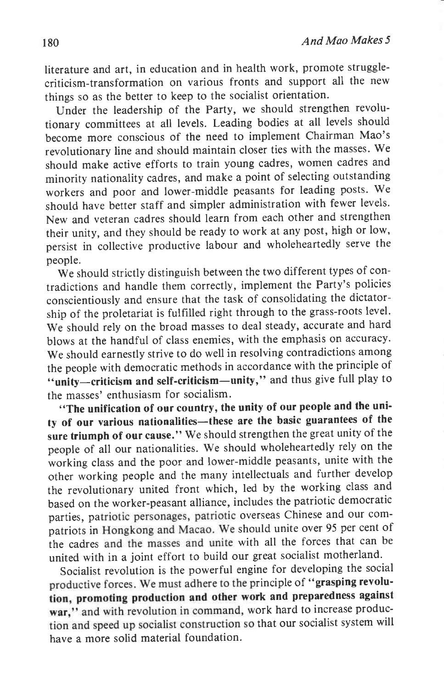literature and art, in education and in health work, promote strugglecriticism-transformation on various fronts and support all the new things so as the better to keep to the socialist orientation.

Under the leadership of the Party, we should strengthen revolutionary committees at all levels. Leading bodies at all levels should become more conscious of the need to implement Chairman Mao's revolutionary line and should maintain closer ties with the masses. We should make active efforts to train young cadres, women cadres and minority nationality cadres, and make a point of selecting outstanding workers and poor and lower-middle peasants for leading posts. We should have better staff and simpler administration with fewer levels. New and veteran cadres should learn from each other and strengthen their unity, and they should be ready to work at any post, high or low, persist in collective productive labour and wholeheartedly serve the people.

we should strictly distinguish between the two different types of contradictions and handle them correctly, implement the Party's policies conscientiously and ensure that the task of consolidating the dictatorship of the proletariat is fulfilled right through to the grass-roots level. We should rely on the broad masses to deal steady, accurate and hard blows at the handful of class enemies, with the emphasis on accuracy. We should earnestly strive to do well in resolving contradictions among the people with democratic methods in accordance with the principle of "unity-criticism and self-criticism-unity," and thus give full play to the masses' enthusiasm for socialism.

"The unification of our country, the unity of our people and the unity of our various nationalities-these are the basic guarantees of the sure triumph of our cause." We should strengthen the great unity of the people of all our nationalities. We should wholeheartedly rely on the working class and the poor and lower-middle peasants, unite with the other working people and the many intellectuals and further develop the revolutionary united front which, led by the working class and based on the worker-peasant alliance, includes the patriotic democratic parties, patriotic personages, patriotic overseas Chinese and our compatriots in Hongkong and Macao. We should unite over 95 per cent of the cadres and the masses and unite with all the forces that can be united with in a joint effort to build our great socialist motherland.

Socialist revolution is the powerful engine for developing the social productive forces. We must adhere to the principle of "grasping revolution, promoting production and other work and preparedness against war," and with revolution in command, work hard to increase production and speed up socialist construction so that our socialist system will have a more solid material foundation.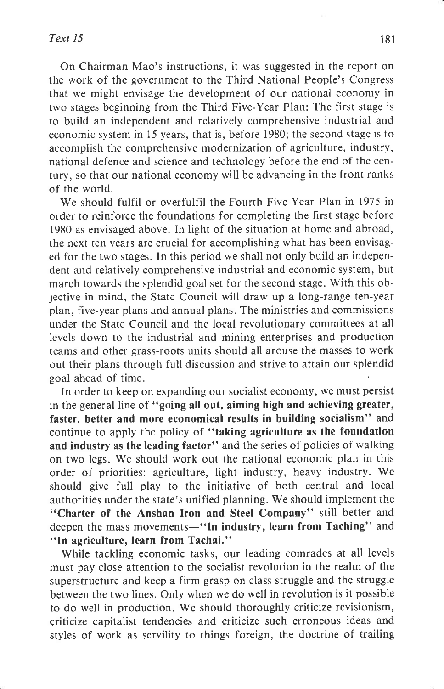On Chairman Mao's instructions, it was suggested in the report on the work of the government to the Third National People's Congress that we might envisage the development of our national economy in two stages beginning from the Third Five-Year Plan: The first stage is to build an independent and relatively comprehensive industrial and economic system in l5 years, that is, before 1980; the second stage is to accomplish the comprehensive modernization of agriculture, industry, national defence and science and technology before the end of the century, so that our national economy will be advancing in the front ranks of the world.

We should fulfil or overfulfil the Fourth Five-Year Plan in 1975 in order to reinforce the foundations for completing the first stage before 1980 as envisaged above. In light of the situation at home and abroad, the next ten years are crucial for accomplishing what has been envisaged for the two stages. In this period we shall not only build an independent and relatively cornprehensive industrial and economic system, but march towards the splendid goal set for the second stage. With this objective in mind, the State Council will draw up a long-range ten-year plan, five-year plans and annual plans. The ministries and commissions under the State Council and the local revolutionary committees at all levels down to the industrial and mining enterprises and production teams and other grass-roots units should all arouse the masses to work out their plans through full discussion and strive to attain our splendid goal ahead of time.

In order to keep on expanding our socialist economy, we must persist in the general line of "going all out, aiming high and achieving greater, faster, better and more economical results in building socialism" and continue to apply the policy of "taking agriculture as the foundation and industry as the leading factor" and the series of policies of walking on two legs. We should work out the national economic plan in this order of priorities: agriculture, light industry, heavy industry. We should give full play to the initiative of both central and local authorities under the state's unified planning. We should implement the "Charter of the Anshan Iron and Steel Company" still better and deepen the mass movements—"In industry, learn from Taching" and "In agriculture, learn from Tachai."

While tackling economic tasks, our leading comrades at all levels must pay close attention to the socialist revolution in the realm of the superstructure and keep a firm grasp on class struggle and the struggle between the two lines. Only when we do well in revolution is it possible to do well in production. We should thoroughly criticize revisionism, criticize capitalist tendencies and criticize such erroneous ideas and styles of work as servility to things foreign, the doctrine of trailing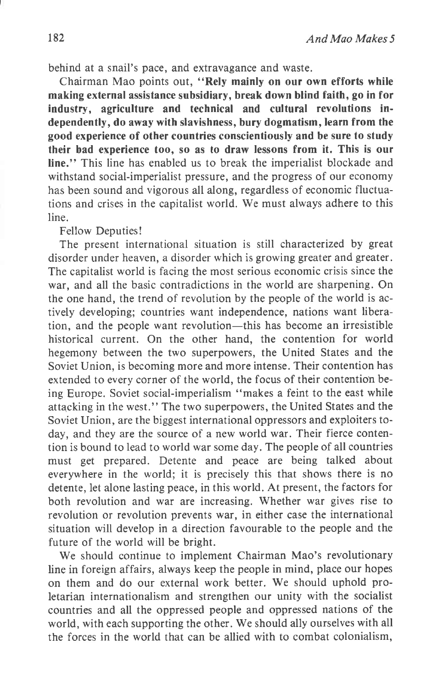behind at a snail's pace, and extravagance and waste.

Chairman Mao points out, "Rely mainly on our own efforts while making external assistance subsidiary, break down blind faith, go in for industry, agriculture and technical and cultural revolutions independently, do away with slavishness, bury dogmatism, learn from the good experience of other countries conscientiously and be sure to study their bad experience too, so as to draw lessons from it. This is our line." This line has enabled us to break the imperialist blockade and withstand social-imperialist pressure, and the progress of our economy has been sound and vigorous all along, regardless of economic fluctuations and crises in the capitalist world. We must always adhere to this line.

Fellow Deputies!

The present international situation is still characterized by great disorder under heaven, a disorder which is growing greater and greater. The capitalist world is facing the most serious economic crisis since the war, and all the basic contradictions in the world are sharpening. On the one hand, the trend of revolution by the people of the world is actively developing; countries want independence, nations want liberation, and the people want revolution-this has become an irresistible historical current. On the other hand, the contention for world hegemony between the two superpowers, the United States and the Soviet Union, is becoming more and more intense. Their contention has extended to every corner of the world, the focus of their contention being Europe. Soviet social-imperialism "makes a feint to the east while attacking in the west." The two superpowers, the United States and the Soviet Union, are the biggest international oppressors and exploiters today, and they are the source of a new world war. Their fierce contention is bound to lead to world war some day. The people of all countries must get prepared. Detente and peace are being talked about everywhere in the world; it is precisely this that shows there is no detente, let alone lasting peace, in this world. At present, the factors for both revolution and war are increasing. Whether war gives rise to revolution or revolution prevents war, in either case the international situation will develop in a direction favourable to the people and the future of the world will be bright.

We should continue to implement Chairman Mao's revolutionary line in foreign affairs, always keep the people in mind, place our hopes on them and do our external work better. We should uphold proletarian internationalism and strengthen our unity with the socialist countries and all the oppressed people and oppressed nations of the world, with each supporting the other. We should ally ourselves with all the forces in the world that can be allied with to combat colonialism,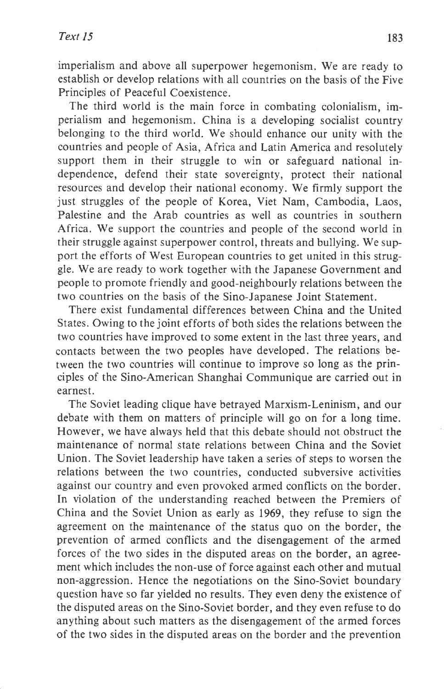imperialism and above all superpower hegemonism. We are ready to establish or develop relations with all countries on the basis of the Five Principles of Peaceful Coexistence.

The third world is the main force in combating colonialism, imperialisrn and hegemonism. China is a developing socialist country belonging to the third world. We should enhance our unity with the countries and people of Asia, Africa and Latin America and resolutely support them in their struggle to win or safeguard national independence, defend their state sovereignty, protect their national resources and develop their national economy. We firmly support the just struggles of the people of Korea, Viet Nam, Cambodia, Laos, Palestine and the Arab countries as well as countries in southern Africa, We support the countries and people of the second world in their struggle against superpower control, threats and bullying. We support the efforts of West European countries to get united in this struggle. We are ready to work together with the Japanese Government and people to promote friendly and good-neighbourly relations between the two countries on the basis of the Sino-Japanese Joint Statement.

There exist fundamental differences between China and the United States. Owing to the joint efforts of both sides the relations between the two countries have improved to some extent in the last three years, and contacts between the two peoples have developed. The relations between the two countries will continue to improve so long as the principles of the Sino-American Shanghai Communique are carried out in earnest.

The Soviet leading clique have betrayed Marxism-Leninism, and our debate with them on matters of principle will go on for a long time. However, we have always held that this debate should not obstruct the maintenance of normal state relations between China and the Soviet Union. The Soviet leadership have taken a series of steps to worsen the relations between the two countries, conducted subversive activities against our country and even provoked armed conflicts on the border. In violation of the understanding reached between the Premiers of China and the Soviet Union as early as 1969, they refuse to sign the agreement on the maintenance of the status quo on the border, the prevention of armed conflicts and the disengagement of the armed forces of the two sides in the disputed areas on the border, an agreement which includes the non-use of force against each other and mutual non-aggression. Hence the negotiations on the Sino-Soviet boundary question have so far yielded no results. They even deny the existence of the disputed areas on the Sino-Soviet border, and they even refuse to do anything about such matters as the disengagement of the armed forces of the two sides in the disputed areas on the border and the prevention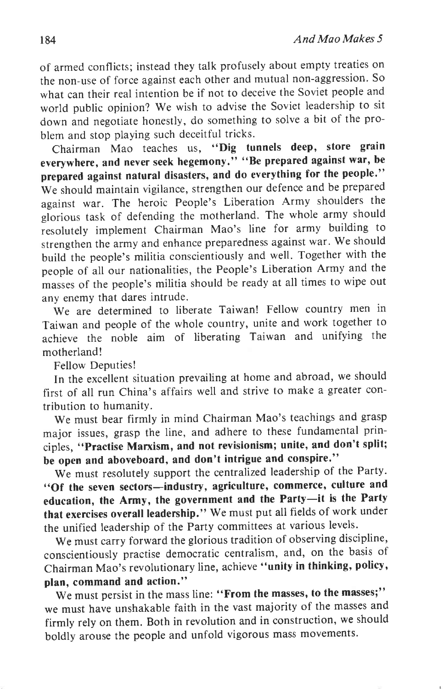of armed conflicts; instead they talk profusely about empty treaties on the non-use of force against each other and mutual non-aggression. So what can their real intention be if not to deceive the Soviet people and world public opinion? We wish to advise the Soviet leadership to sit down and negotiate honestly, do something to solve a bit of the problem and stop playing such deceitful tricks.

Chairman Mao teaches us, "Dig tunnels deep, store grain everywhere, and never seek hegemony." "Be prepared against war, be prepared against natural disasters, and do everything for the people." We should maintain vigilance, strengthen our defence and be prepared against war. The heroic People's Liberation Army shoulders the giorious task of defending the motherland. The whole army should resolutely implement Chairman Mao's line for army building to strengthen the army and enhance preparedness against war. We should build the people's militia conscientiously and well. Together with the people of all our nationalities, the People's Liberation Army and the masses of the people's militia should be ready at all times to wipe out any enemy that dares intrude.

We are determined to liberate Taiwan! Fellow country men in Taiwan and people of the whole country, unite and work together to achieve the noble aim of liberating Taiwan and unifying the motherland!

Fellow Deputies!

In the excellent situation prevailing at home and abroad, we should first of all run china's affairs well and strive to make a greater contribution to humanitY.

We must bear firmly in mind Chairman Mao's teachings and grasp major issues, grasp the line, and adhere to these fundamental principles, "Practise Marxism, and not revisionism; unite, and don't split; be open and aboveboard, and don't intrigue and conspire."

we must resolutely support the centralized leadership of the Party. "Of the seven sectors-industry, agriculture, commerce, culture and education, the Army, the government and the Party-it is the Party that exercises overall leadership." We must put all fields of work under the unified leadership of the Party committees at various levels.

We must carry forward the glorious tradition of observing discipline, conscientiously practise democratic centralism, and, on the basis of Chairman Mao's revolutionary line, achieve "unity in thinking, policy, plan, command and action."

We must persist in the mass line: "From the masses, to the masses;" we must have unshakable faith in the vast majority of the masses and firmly rely on them. Both in revolution and in construction, we should boldly arouse the people and unfold vigorous mass movements.